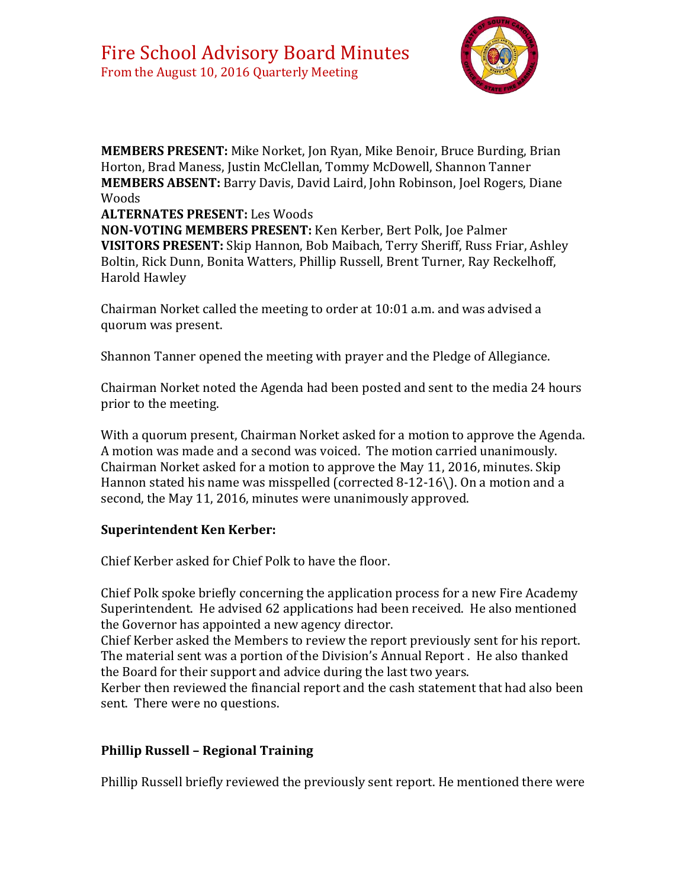

**MEMBERS PRESENT:** Mike Norket, Jon Ryan, Mike Benoir, Bruce Burding, Brian Horton, Brad Maness, Justin McClellan, Tommy McDowell, Shannon Tanner **MEMBERS ABSENT:** Barry Davis, David Laird, John Robinson, Joel Rogers, Diane Woods

#### **ALTERNATES PRESENT:** Les Woods

**NON-VOTING MEMBERS PRESENT:** Ken Kerber, Bert Polk, Joe Palmer **VISITORS PRESENT:** Skip Hannon, Bob Maibach, Terry Sheriff, Russ Friar, Ashley Boltin, Rick Dunn, Bonita Watters, Phillip Russell, Brent Turner, Ray Reckelhoff, Harold Hawley

Chairman Norket called the meeting to order at 10:01 a.m. and was advised a quorum was present.

Shannon Tanner opened the meeting with prayer and the Pledge of Allegiance.

Chairman Norket noted the Agenda had been posted and sent to the media 24 hours prior to the meeting.

With a quorum present, Chairman Norket asked for a motion to approve the Agenda. A motion was made and a second was voiced. The motion carried unanimously. Chairman Norket asked for a motion to approve the May 11, 2016, minutes. Skip Hannon stated his name was misspelled (corrected 8-12-16\). On a motion and a second, the May 11, 2016, minutes were unanimously approved.

#### **Superintendent Ken Kerber:**

Chief Kerber asked for Chief Polk to have the floor.

Chief Polk spoke briefly concerning the application process for a new Fire Academy Superintendent. He advised 62 applications had been received. He also mentioned the Governor has appointed a new agency director.

Chief Kerber asked the Members to review the report previously sent for his report. The material sent was a portion of the Division's Annual Report . He also thanked the Board for their support and advice during the last two years.

Kerber then reviewed the financial report and the cash statement that had also been sent. There were no questions.

# **Phillip Russell – Regional Training**

Phillip Russell briefly reviewed the previously sent report. He mentioned there were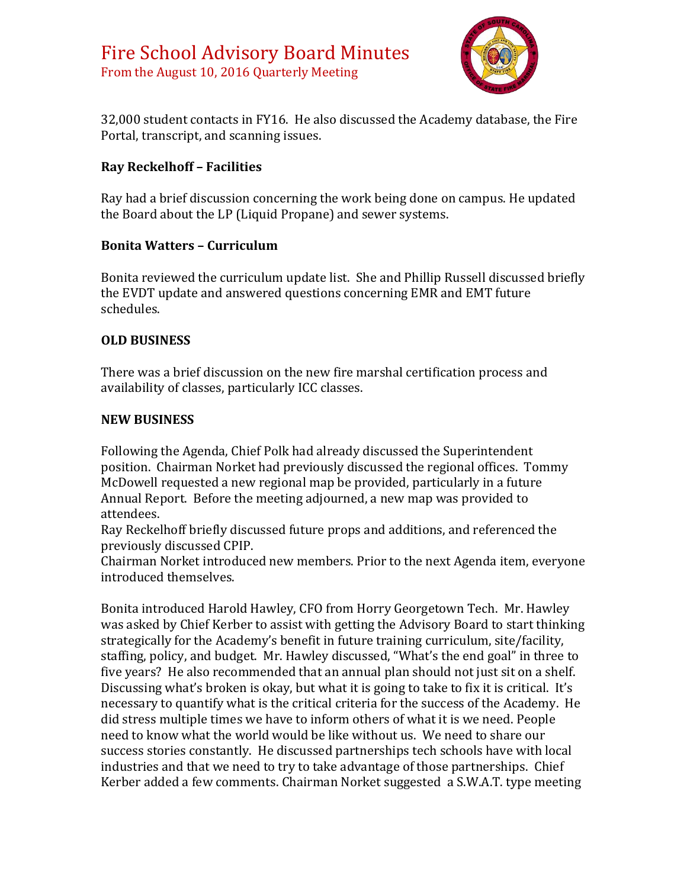

32,000 student contacts in FY16. He also discussed the Academy database, the Fire Portal, transcript, and scanning issues.

# **Ray Reckelhoff – Facilities**

Ray had a brief discussion concerning the work being done on campus. He updated the Board about the LP (Liquid Propane) and sewer systems.

## **Bonita Watters – Curriculum**

Bonita reviewed the curriculum update list. She and Phillip Russell discussed briefly the EVDT update and answered questions concerning EMR and EMT future schedules.

## **OLD BUSINESS**

There was a brief discussion on the new fire marshal certification process and availability of classes, particularly ICC classes.

## **NEW BUSINESS**

Following the Agenda, Chief Polk had already discussed the Superintendent position. Chairman Norket had previously discussed the regional offices. Tommy McDowell requested a new regional map be provided, particularly in a future Annual Report. Before the meeting adjourned, a new map was provided to attendees.

Ray Reckelhoff briefly discussed future props and additions, and referenced the previously discussed CPIP.

Chairman Norket introduced new members. Prior to the next Agenda item, everyone introduced themselves.

Bonita introduced Harold Hawley, CFO from Horry Georgetown Tech. Mr. Hawley was asked by Chief Kerber to assist with getting the Advisory Board to start thinking strategically for the Academy's benefit in future training curriculum, site/facility, staffing, policy, and budget. Mr. Hawley discussed, "What's the end goal" in three to five years? He also recommended that an annual plan should not just sit on a shelf. Discussing what's broken is okay, but what it is going to take to fix it is critical. It's necessary to quantify what is the critical criteria for the success of the Academy. He did stress multiple times we have to inform others of what it is we need. People need to know what the world would be like without us. We need to share our success stories constantly. He discussed partnerships tech schools have with local industries and that we need to try to take advantage of those partnerships. Chief Kerber added a few comments. Chairman Norket suggested a S.W.A.T. type meeting